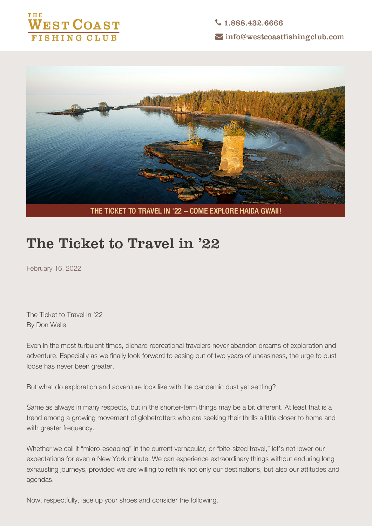

 $4.18884326666$  $\sim$  info@westcoastfishingclub.com



## THE TICKET TO TRAVEL IN '22 - COME EXPLORE HAIDA GWAII!

# **The Ticket to Travel in '22**

February 16, 2022

**The Ticket to Travel in '22 By Don Wells**

Even in the most turbulent times, diehard recreational travelers never abandon dreams of exploration and adventure. Especially as we finally look forward to easing out of two years of uneasiness, the urge to bust loose has never been greater.

But what do exploration and adventure look like with the pandemic dust yet settling?

Same as always in many respects, but in the shorter-term things may be a bit different. At least that is a trend among a growing movement of globetrotters who are seeking their thrills a little closer to home and with greater frequency.

Whether we call it "micro-escaping" in the current vernacular, or "bite-sized travel," let's not lower our expectations for even a New York minute. We can experience extraordinary things without enduring long exhausting journeys, provided we are willing to rethink not only our destinations, but also our attitudes and agendas.

Now, respectfully, lace up your shoes and consider the following.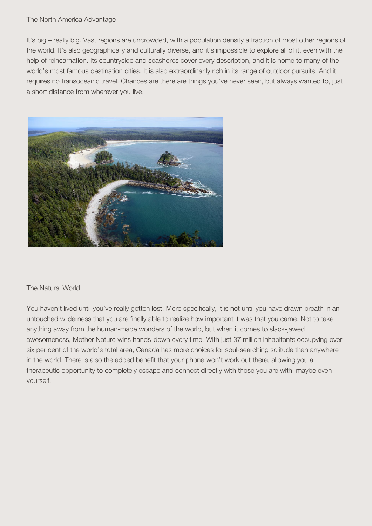#### **The North America Advantage**

It's big – really big. Vast regions are uncrowded, with a population density a fraction of most other regions of the world. It's also geographically and culturally diverse, and it's impossible to explore all of it, even with the help of reincarnation. Its countryside and seashores cover every description, and it is home to many of the world's most famous destination cities. It is also extraordinarily rich in its range of outdoor pursuits. And it requires no transoceanic travel. Chances are there are things you've never seen, but always wanted to, just a short distance from wherever you live.



#### **The Natural World**

You haven't lived until you've really gotten lost. More specifically, it is not until you have drawn breath in an untouched wilderness that you are finally able to realize how important it was that you came. Not to take anything away from the human-made wonders of the world, but when it comes to slack-jawed awesomeness, Mother Nature wins hands-down every time. With just 37 million inhabitants occupying over six per cent of the world's total area, Canada has more choices for soul-searching solitude than anywhere in the world. There is also the added benefit that your phone won't work out there, allowing you a therapeutic opportunity to completely escape and connect directly with those you are with, maybe even yourself.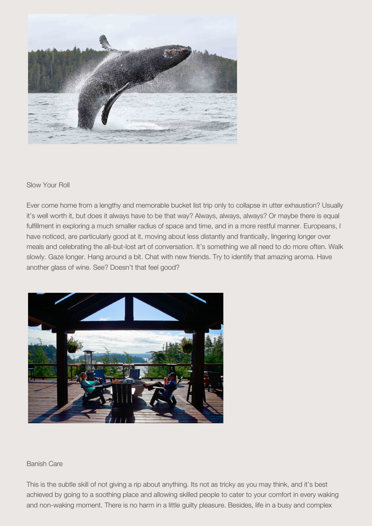

#### **Slow Your Roll**

Ever come home from a lengthy and memorable bucket list trip only to collapse in utter exhaustion? Usually it's well worth it, but does it always have to be that way? Always, always, always? Or maybe there is equal fulfillment in exploring a much smaller radius of space and time, and in a more restful manner. Europeans, I have noticed, are particularly good at it, moving about less distantly and frantically, lingering longer over meals and celebrating the all-but-lost art of conversation. It's something we all need to do more often. Walk slowly. Gaze longer. Hang around a bit. Chat with new friends. Try to identify that amazing aroma. Have another glass of wine. See? Doesn't that feel good?



#### **Banish Care**

This is the subtle skill of not giving a rip about anything. Its not as tricky as you may think, and it's best achieved by going to a soothing place and allowing skilled people to cater to your comfort in every waking and non-waking moment. There is no harm in a little guilty pleasure. Besides, life in a busy and complex